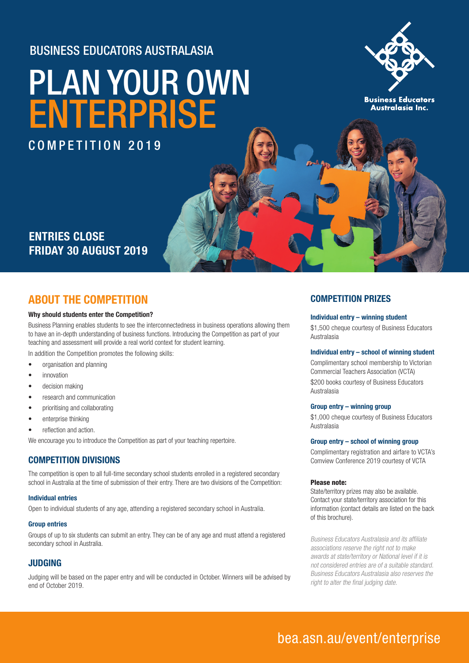### BUSINESS EDUCATORS AUSTRALASIA

# [PLAN YOUR OWN](www.bea.asn.au/event/enterprise) ENTERPRISE

COMPETITION 2019



**Business Educators** Australasia Inc.

## **ENTRIES CLOSE FRIDAY 30 AUGUST 2019**

### **ABOUT THE COMPETITION**

#### **Why should students enter the Competition?**

Business Planning enables students to see the interconnectedness in business operations allowing them to have an in-depth understanding of business functions. Introducing the Competition as part of your teaching and assessment will provide a real world context for student learning.

In addition the Competition promotes the following skills:

- organisation and planning
- **innovation**
- decision making
- research and communication
- prioritising and collaborating
- enterprise thinking
- reflection and action.

We encourage you to introduce the Competition as part of your teaching repertoire.

#### **COMPETITION DIVISIONS**

The competition is open to all full-time secondary school students enrolled in a registered secondary school in Australia at the time of submission of their entry. There are two divisions of the Competition:

#### **Individual entries**

Open to individual students of any age, attending a registered secondary school in Australia.

#### **Group entries**

Groups of up to six students can submit an entry. They can be of any age and must attend a registered secondary school in Australia.

#### **JUDGING**

Judging will be based on the paper entry and will be conducted in October. Winners will be advised by end of October 2019.

#### **COMPETITION PRIZES**

#### **Individual entry – winning student**

\$1,500 cheque courtesy of Business Educators Australasia

#### **Individual entry – school of winning student**

Complimentary school membership to Victorian Commercial Teachers Association (VCTA) \$200 books courtesy of Business Educators Australasia

#### **Group entry – winning group**

\$1,000 cheque courtesy of Business Educators Australasia

#### **Group entry – school of winning group**

Complimentary registration and airfare to VCTA's Comview Conference 2019 courtesy of VCTA

#### Please note:

State/territory prizes may also be available. Contact your state/territory association for this information (contact details are listed on the back of this brochure).

Business Educators Australasia and its affiliate associations reserve the right not to make awards at state/territory or National level if it is not considered entries are of a suitable standard. Business Educators Australasia also reserves the right to alter the final judging date.

## [bea.asn.au/event/enterprise](www.bea.asn.au/event/enterprise)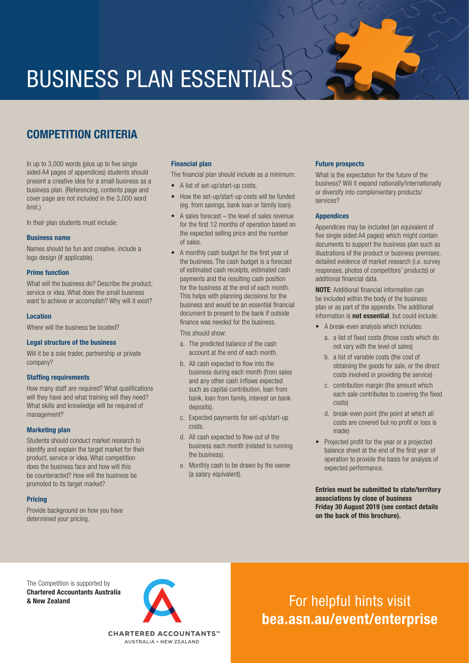## BUSINESS PLAN ESSENTIALS

## **COMPETITION CRITERIA**

In up to 3,000 words (plus up to five single sided A4 pages of appendices) students should present a creative idea for a small business as a business plan. (Referencing, contents page and cover page are not included in the 3,000 word limit.)

In their plan students must include:

#### **Business name**

Names should be fun and creative, include a logo design (if applicable).

#### **Prime function**

What will the business do? Describe the product, service or idea. What does the small business want to achieve or accomplish? Why will it exist?

#### **Location**

Where will the business be located?

#### **Legal structure of the business**

Will it be a sole trader, partnership or private company?

#### **Staffing requirements**

How many staff are required? What qualifications will they have and what training will they need? What skills and knowledge will be required of management?

#### **Marketing plan**

Students should conduct market research to identify and explain the target market for their product, service or idea. What competition does the business face and how will this be counteracted? How will the business be promoted to its target market?

#### **Pricing**

Provide background on how you have determined your pricing.

#### **Financial plan**

The financial plan should include as a minimum:

- A list of set-up/start-up costs.
- How the set-up/start-up costs will be funded (eg. from savings, bank loan or family loan).
- A sales forecast  $-$  the level of sales revenue for the first 12 months of operation based on the expected selling price and the number of sales.
- A monthly cash budget for the first year of the business. The cash budget is a forecast of estimated cash receipts, estimated cash payments and the resulting cash position for the business at the end of each month. This helps with planning decisions for the business and would be an essential financial document to present to the bank if outside finance was needed for the business.

This should show:

- a. The predicted balance of the cash account at the end of each month.
- b. All cash expected to flow into the business during each month (from sales and any other cash inflows expected such as capital contribution, loan from bank, loan from family, interest on bank deposits).
- c. Expected payments for set-up/start-up costs.
- d. All cash expected to flow out of the business each month (related to running the business).
- e. Monthly cash to be drawn by the owner (a salary equivalent).

#### **Future prospects**

What is the expectation for the future of the business? Will it expand nationally/internationally or diversify into complementary products/ services?

#### **Appendices**

Appendices may be included (an equivalent of five single sided A4 pages) which might contain documents to support the business plan such as illustrations of the product or business premises, detailed evidence of market research (i.e. survey responses, photos of competitors' products) or additional financial data.

**NOTE**: Additional financial information can be included within the body of the business plan or as part of the appendix. The additional information is **not essential**, but could include:

- A break-even analysis which includes:
	- a. a list of fixed costs (those costs which do not vary with the level of sales)
	- b. a list of variable costs (the cost of obtaining the goods for sale, or the direct costs involved in providing the service)
	- c. contribution margin (the amount which each sale contributes to covering the fixed costs)
	- d. break-even point (the point at which all costs are covered but no profit or loss is made)
- Projected profit for the year or a projected balance sheet at the end of the first year of operation to provide the basis for analysis of expected performance.

**Entries must be submitted to state/territory associations by close of business Friday 30 August 2019 (see contact details on the back of this brochure).**

The Competition is supported by **Chartered Accountants Australia** 



**EXECUTE AND ARRESTS ASSESSEDED ASSOCIATED AND ARRESTS ASSOCIATED AT A RESPONSE A POINT OF A RESPONSE OF A RESPONSE AND ARRESTS OF A RESPONSE OF A RESPONSE OF A RESPONSE OF A RESPONSE OF A RESPONSE OF A RESPONSE OF A RESPO [bea.asn.au/event/enterprise](www.bea.asn.au/event/enterprise)**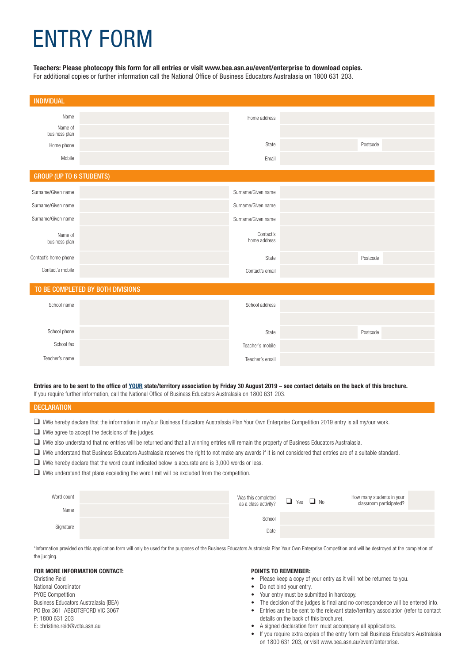## ENTRY FORM

#### **Teachers: Please photocopy this form for all entries or visit www.bea.asn.au/event/enterprise to download copies.**

For additional copies or further information call the National Office of Business Educators Australasia on 1800 631 203.

| <b>INDIVIDUAL</b>                 |  |                           |  |          |  |  |  |
|-----------------------------------|--|---------------------------|--|----------|--|--|--|
| Name<br>Name of<br>business plan  |  | Home address              |  |          |  |  |  |
| Home phone                        |  | State                     |  | Postcode |  |  |  |
| Mobile                            |  | Email                     |  |          |  |  |  |
| <b>GROUP (UP TO 6 STUDENTS)</b>   |  |                           |  |          |  |  |  |
| Surname/Given name                |  | Surname/Given name        |  |          |  |  |  |
| Surname/Given name                |  | Surname/Given name        |  |          |  |  |  |
| Surname/Given name                |  | Surname/Given name        |  |          |  |  |  |
| Name of<br>business plan          |  | Contact's<br>home address |  |          |  |  |  |
| Contact's home phone              |  | State                     |  | Postcode |  |  |  |
| Contact's mobile                  |  | Contact's email           |  |          |  |  |  |
| TO BE COMPLETED BY BOTH DIVISIONS |  |                           |  |          |  |  |  |
| School name                       |  | School address            |  |          |  |  |  |
| School phone                      |  | State                     |  | Postcode |  |  |  |
| School fax                        |  | Teacher's mobile          |  |          |  |  |  |
| Teacher's name                    |  | Teacher's email           |  |          |  |  |  |

**Entries are to be sent to the office of YOUR state/territory association by Friday 30 August 2019 – see contact details on the back of this brochure.** If you require further information, call the National Office of Business Educators Australasia on 1800 631 203.

#### **DECLARATION**

- $\Box$  I/We hereby declare that the information in my/our Business Educators Australasia Plan Your Own Enterprise Competition 2019 entry is all my/our work.
- $\Box$  I/We agree to accept the decisions of the judges.
- q I/We also understand that no entries will be returned and that all winning entries will remain the property of Business Educators Australasia.
- □ I/We understand that Business Educators Australasia reserves the right to not make any awards if it is not considered that entries are of a suitable standard.
- $\Box$  I/We hereby declare that the word count indicated below is accurate and is 3,000 words or less.
- $\Box$  I/We understand that plans exceeding the word limit will be excluded from the competition.

| Word count | Was this completed<br>as a class activity? $\Box$ Yes $\Box$ No |  | How many students in your<br>classroom participated? |
|------------|-----------------------------------------------------------------|--|------------------------------------------------------|
| Name       |                                                                 |  |                                                      |
| Signature  | School                                                          |  |                                                      |
|            | Date                                                            |  |                                                      |

\*Information provided on this application form will only be used for the purposes of the Business Educators Australasia Plan Your Own Enterprise Competition and will be destroyed at the completion of the judging.

#### **FOR MORE INFORMATION CONTACT:**

Christine Reid National Coordinator PYOE Competition Business Educators Australasia (BEA) PO Box 361 ABBOTSFORD VIC 3067 P: 1800 631 203 E: christine.reid@vcta.asn.au

#### **POINTS TO REMEMBER:**

- Please keep a copy of your entry as it will not be returned to you.
- Do not bind your entry.
- Your entry must be submitted in hardcopy.
- The decision of the judges is final and no correspondence will be entered into.
- Entries are to be sent to the relevant state/territory association (refer to contact details on the back of this brochure).
- A signed declaration form must accompany all applications.
- If you require extra copies of the entry form call Business Educators Australasia on 1800 631 203, or visit www.bea.asn.au/event/enterprise.